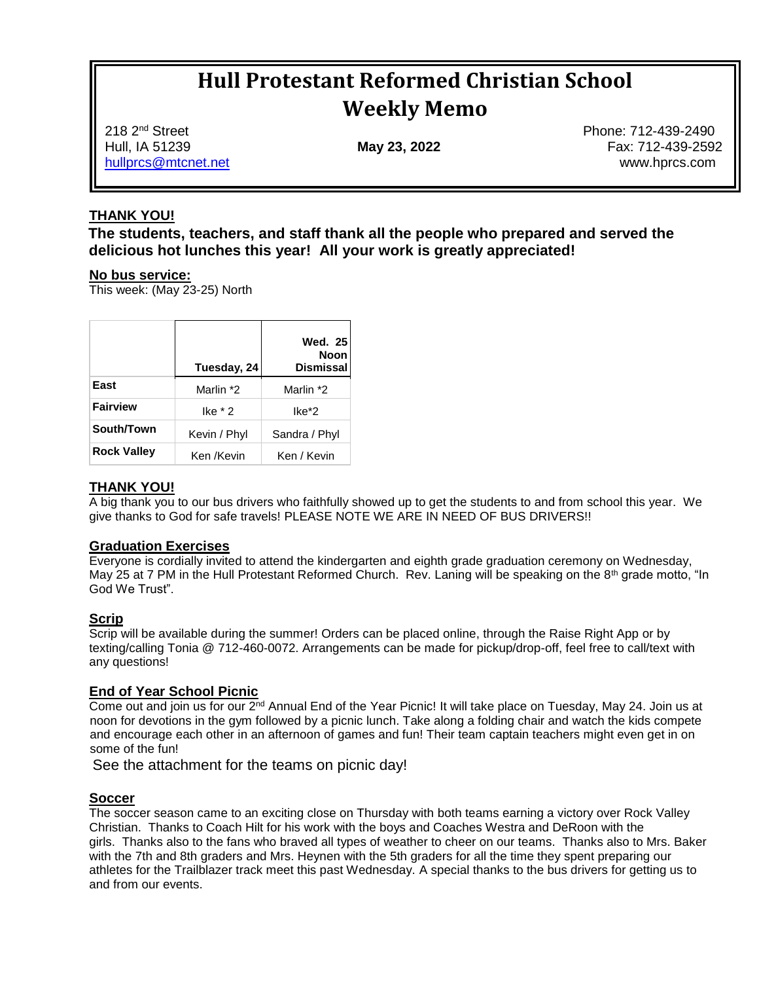# **Hull Protestant Reformed Christian School Weekly Memo**

218 2nd Street Phone: 712-439-2490 Hull, IA 51239 **May 23, 2022** Fax: 712-439-2592 hullprcs@mtcnet.net www.hprcs.com

#### **THANK YOU!**

**The students, teachers, and staff thank all the people who prepared and served the delicious hot lunches this year! All your work is greatly appreciated!**

#### **No bus service:**

This week: (May 23-25) North

|                    | Tuesday, 24  | <b>Wed. 25</b><br><b>Noon</b><br><b>Dismissal</b> |
|--------------------|--------------|---------------------------------------------------|
| East               | Marlin *2    | Marlin *2                                         |
| <b>Fairview</b>    | lke $*2$     | lke*2                                             |
| South/Town         | Kevin / Phyl | Sandra / Phyl                                     |
| <b>Rock Valley</b> | Ken /Kevin   | Ken / Kevin                                       |

#### **THANK YOU!**

A big thank you to our bus drivers who faithfully showed up to get the students to and from school this year. We give thanks to God for safe travels! PLEASE NOTE WE ARE IN NEED OF BUS DRIVERS!!

#### **Graduation Exercises**

Everyone is cordially invited to attend the kindergarten and eighth grade graduation ceremony on Wednesday, May 25 at 7 PM in the Hull Protestant Reformed Church. Rev. Laning will be speaking on the 8th grade motto, "In God We Trust".

#### **Scrip**

Scrip will be available during the summer! Orders can be placed online, through the Raise Right App or by texting/calling Tonia @ 712-460-0072. Arrangements can be made for pickup/drop-off, feel free to call/text with any questions!

#### **End of Year School Picnic**

Come out and join us for our 2nd Annual End of the Year Picnic! It will take place on Tuesday, May 24. Join us at noon for devotions in the gym followed by a picnic lunch. Take along a folding chair and watch the kids compete and encourage each other in an afternoon of games and fun! Their team captain teachers might even get in on some of the fun!

See the attachment for the teams on picnic day!

#### **Soccer**

The soccer season came to an exciting close on Thursday with both teams earning a victory over Rock Valley Christian. Thanks to Coach Hilt for his work with the boys and Coaches Westra and DeRoon with the girls. Thanks also to the fans who braved all types of weather to cheer on our teams. Thanks also to Mrs. Baker with the 7th and 8th graders and Mrs. Heynen with the 5th graders for all the time they spent preparing our athletes for the Trailblazer track meet this past Wednesday. A special thanks to the bus drivers for getting us to and from our events.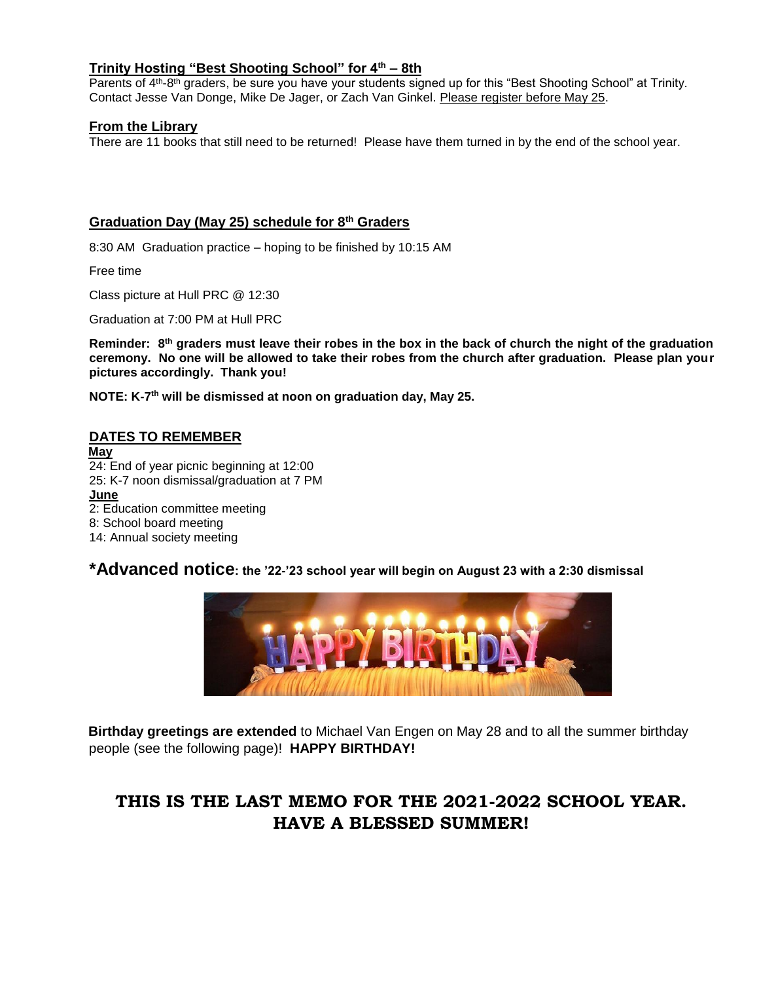#### **Trinity Hosting "Best Shooting School" for 4th – 8th**

Parents of 4<sup>th</sup>-8<sup>th</sup> graders, be sure you have your students signed up for this "Best Shooting School" at Trinity. Contact Jesse Van Donge, Mike De Jager, or Zach Van Ginkel. Please register before May 25.

#### **From the Library**

There are 11 books that still need to be returned! Please have them turned in by the end of the school year.

#### **Graduation Day (May 25) schedule for 8th Graders**

8:30 AM Graduation practice – hoping to be finished by 10:15 AM

Free time

Class picture at Hull PRC @ 12:30

Graduation at 7:00 PM at Hull PRC

**Reminder: 8th graders must leave their robes in the box in the back of church the night of the graduation ceremony. No one will be allowed to take their robes from the church after graduation. Please plan your pictures accordingly. Thank you!**

**NOTE: K-7 th will be dismissed at noon on graduation day, May 25.**

#### **DATES TO REMEMBER**

**May**  24: End of year picnic beginning at 12:00 25: K-7 noon dismissal/graduation at 7 PM **June** 2: Education committee meeting 8: School board meeting 14: Annual society meeting

### **\*Advanced notice: the '22-'23 school year will begin on August 23 with a 2:30 dismissal**



**Birthday greetings are extended** to Michael Van Engen on May 28 and to all the summer birthday people (see the following page)! **HAPPY BIRTHDAY!**

## **THIS IS THE LAST MEMO FOR THE 2021-2022 SCHOOL YEAR. HAVE A BLESSED SUMMER!**